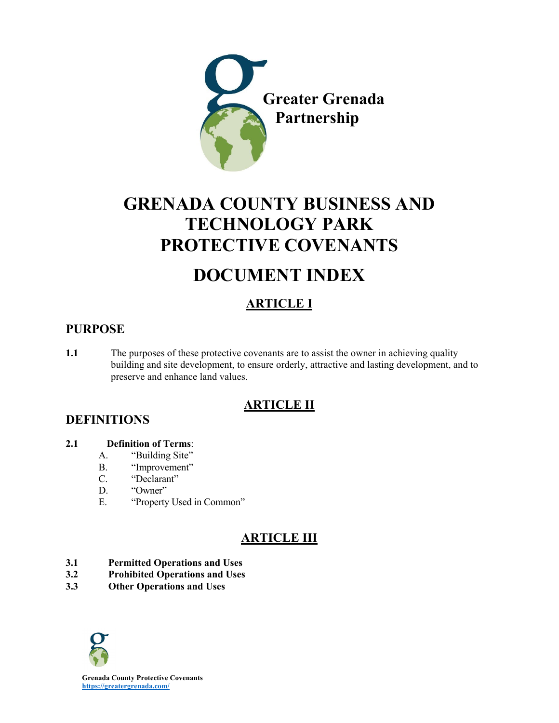

# **GRENADA COUNTY BUSINESS AND TECHNOLOGY PARK PROTECTIVE COVENANTS**

# **DOCUMENT INDEX**

# **ARTICLE I**

## **PURPOSE**

**1.1** The purposes of these protective covenants are to assist the owner in achieving quality building and site development, to ensure orderly, attractive and lasting development, and to preserve and enhance land values.

# **ARTICLE II**

### **DEFINITIONS**

### **2.1 Definition of Terms**:

- A. "Building Site"
- B. "Improvement"
- C. "Declarant"
- D. "Owner"
- E. "Property Used in Common"

# **ARTICLE III**

- **3.1 Permitted Operations and Uses**
- **3.2 Prohibited Operations and Uses**
- **3.3 Other Operations and Uses**

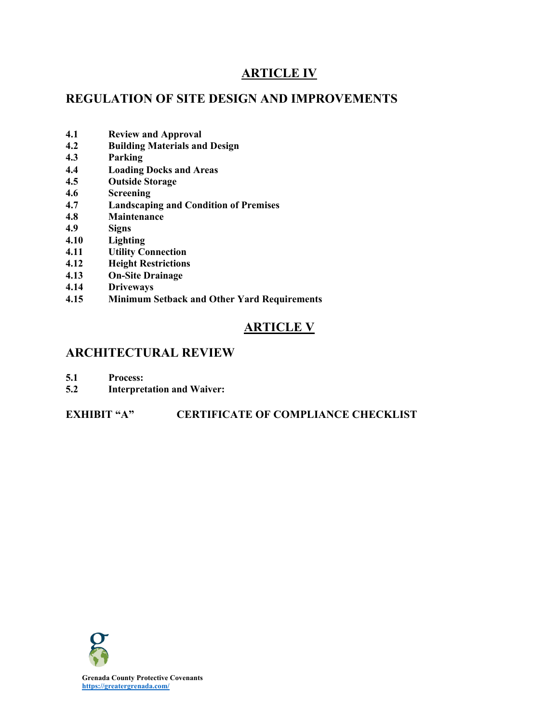# **ARTICLE IV**

# **REGULATION OF SITE DESIGN AND IMPROVEMENTS**

- **4.1 Review and Approval**
- **4.2 Building Materials and Design**
- **4.3 Parking**
- **4.4 Loading Docks and Areas**
- **4.5 Outside Storage**
- **4.6 Screening**
- **4.7 Landscaping and Condition of Premises**
- **4.8 Maintenance**
- **4.9 Signs**
- **4.10 Lighting**
- **4.11 Utility Connection**
- **4.12 Height Restrictions**
- **4.13 On-Site Drainage**
- **4.14 Driveways**
- **4.15 Minimum Setback and Other Yard Requirements**

# **ARTICLE V**

### **ARCHITECTURAL REVIEW**

- **5.1 Process:**
- **5.2 Interpretation and Waiver:**

### **EXHIBIT "A" CERTIFICATE OF COMPLIANCE CHECKLIST**

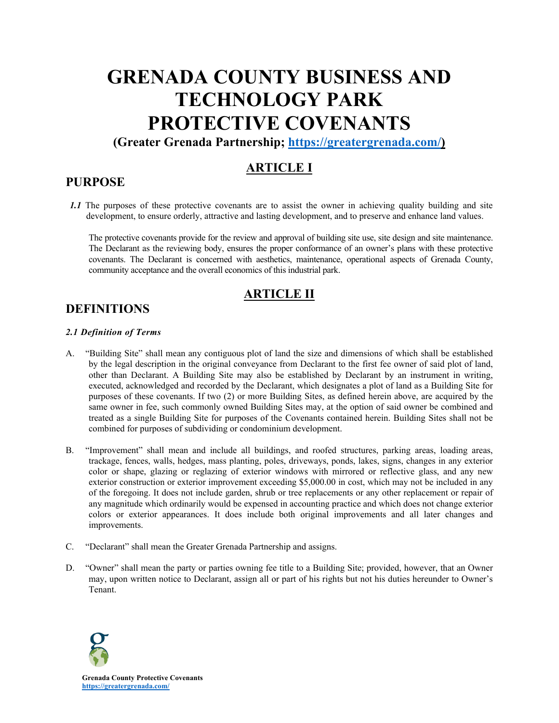# **GRENADA COUNTY BUSINESS AND TECHNOLOGY PARK PROTECTIVE COVENANTS**

**(Greater Grenada Partnership; https://greatergrenada.com/)** 

# **ARTICLE I**

### **PURPOSE**

*1.1* The purposes of these protective covenants are to assist the owner in achieving quality building and site development, to ensure orderly, attractive and lasting development, and to preserve and enhance land values.

The protective covenants provide for the review and approval of building site use, site design and site maintenance. The Declarant as the reviewing body, ensures the proper conformance of an owner's plans with these protective covenants. The Declarant is concerned with aesthetics, maintenance, operational aspects of Grenada County, community acceptance and the overall economics of this industrial park.

### **ARTICLE II**

### **DEFINITIONS**

#### *2.1 Definition of Terms*

- A. "Building Site" shall mean any contiguous plot of land the size and dimensions of which shall be established by the legal description in the original conveyance from Declarant to the first fee owner of said plot of land, other than Declarant. A Building Site may also be established by Declarant by an instrument in writing, executed, acknowledged and recorded by the Declarant, which designates a plot of land as a Building Site for purposes of these covenants. If two (2) or more Building Sites, as defined herein above, are acquired by the same owner in fee, such commonly owned Building Sites may, at the option of said owner be combined and treated as a single Building Site for purposes of the Covenants contained herein. Building Sites shall not be combined for purposes of subdividing or condominium development.
- B. "Improvement" shall mean and include all buildings, and roofed structures, parking areas, loading areas, trackage, fences, walls, hedges, mass planting, poles, driveways, ponds, lakes, signs, changes in any exterior color or shape, glazing or reglazing of exterior windows with mirrored or reflective glass, and any new exterior construction or exterior improvement exceeding \$5,000.00 in cost, which may not be included in any of the foregoing. It does not include garden, shrub or tree replacements or any other replacement or repair of any magnitude which ordinarily would be expensed in accounting practice and which does not change exterior colors or exterior appearances. It does include both original improvements and all later changes and improvements.
- C. "Declarant" shall mean the Greater Grenada Partnership and assigns.
- D. "Owner" shall mean the party or parties owning fee title to a Building Site; provided, however, that an Owner may, upon written notice to Declarant, assign all or part of his rights but not his duties hereunder to Owner's Tenant.

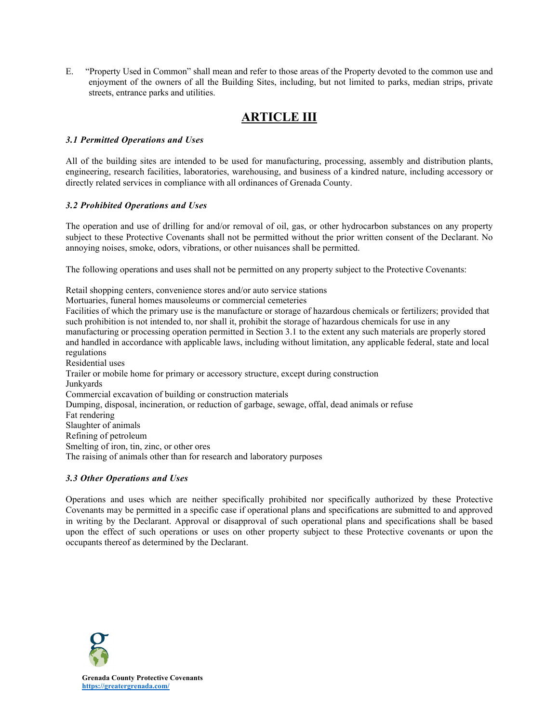E. "Property Used in Common" shall mean and refer to those areas of the Property devoted to the common use and enjoyment of the owners of all the Building Sites, including, but not limited to parks, median strips, private streets, entrance parks and utilities.

# **ARTICLE III**

#### *3.1 Permitted Operations and Uses*

All of the building sites are intended to be used for manufacturing, processing, assembly and distribution plants, engineering, research facilities, laboratories, warehousing, and business of a kindred nature, including accessory or directly related services in compliance with all ordinances of Grenada County.

#### *3.2 Prohibited Operations and Uses*

The operation and use of drilling for and/or removal of oil, gas, or other hydrocarbon substances on any property subject to these Protective Covenants shall not be permitted without the prior written consent of the Declarant. No annoying noises, smoke, odors, vibrations, or other nuisances shall be permitted.

The following operations and uses shall not be permitted on any property subject to the Protective Covenants:

Retail shopping centers, convenience stores and/or auto service stations Mortuaries, funeral homes mausoleums or commercial cemeteries Facilities of which the primary use is the manufacture or storage of hazardous chemicals or fertilizers; provided that such prohibition is not intended to, nor shall it, prohibit the storage of hazardous chemicals for use in any manufacturing or processing operation permitted in Section 3.1 to the extent any such materials are properly stored and handled in accordance with applicable laws, including without limitation, any applicable federal, state and local regulations Residential uses Trailer or mobile home for primary or accessory structure, except during construction Junkyards Commercial excavation of building or construction materials Dumping, disposal, incineration, or reduction of garbage, sewage, offal, dead animals or refuse Fat rendering Slaughter of animals Refining of petroleum Smelting of iron, tin, zinc, or other ores The raising of animals other than for research and laboratory purposes

#### *3.3 Other Operations and Uses*

Operations and uses which are neither specifically prohibited nor specifically authorized by these Protective Covenants may be permitted in a specific case if operational plans and specifications are submitted to and approved in writing by the Declarant. Approval or disapproval of such operational plans and specifications shall be based upon the effect of such operations or uses on other property subject to these Protective covenants or upon the occupants thereof as determined by the Declarant.

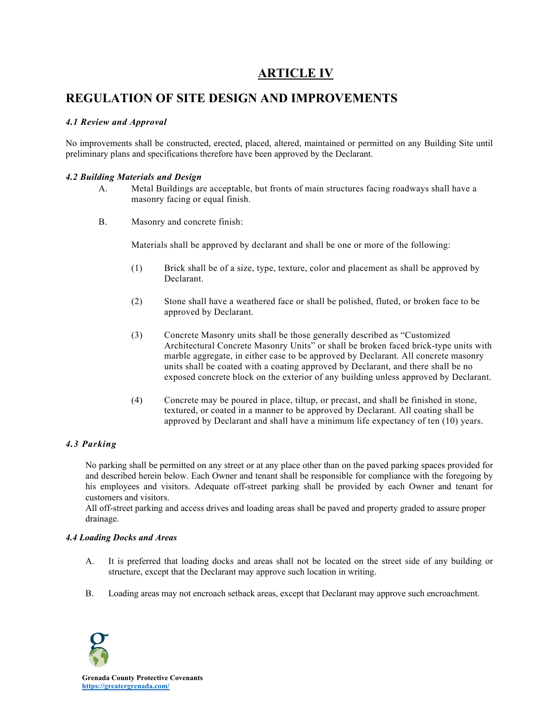## **ARTICLE IV**

### **REGULATION OF SITE DESIGN AND IMPROVEMENTS**

#### *4.1 Review and Approval*

No improvements shall be constructed, erected, placed, altered, maintained or permitted on any Building Site until preliminary plans and specifications therefore have been approved by the Declarant.

#### *4.2 Building Materials and Design*

- A. Metal Buildings are acceptable, but fronts of main structures facing roadways shall have a masonry facing or equal finish.
- B. Masonry and concrete finish:

Materials shall be approved by declarant and shall be one or more of the following:

- (1) Brick shall be of a size, type, texture, color and placement as shall be approved by Declarant.
- (2) Stone shall have a weathered face or shall be polished, fluted, or broken face to be approved by Declarant.
- (3) Concrete Masonry units shall be those generally described as "Customized Architectural Concrete Masonry Units" or shall be broken faced brick-type units with marble aggregate, in either case to be approved by Declarant. All concrete masonry units shall be coated with a coating approved by Declarant, and there shall be no exposed concrete block on the exterior of any building unless approved by Declarant.
- (4) Concrete may be poured in place, tiltup, or precast, and shall be finished in stone, textured, or coated in a manner to be approved by Declarant. All coating shall be approved by Declarant and shall have a minimum life expectancy of ten (10) years.

#### *4.3 Parking*

No parking shall be permitted on any street or at any place other than on the paved parking spaces provided for and described herein below. Each Owner and tenant shall be responsible for compliance with the foregoing by his employees and visitors. Adequate off-street parking shall be provided by each Owner and tenant for customers and visitors.

All off-street parking and access drives and loading areas shall be paved and property graded to assure proper drainage.

#### *4.4 Loading Docks and Areas*

- A. It is preferred that loading docks and areas shall not be located on the street side of any building or structure, except that the Declarant may approve such location in writing.
- B. Loading areas may not encroach setback areas, except that Declarant may approve such encroachment.

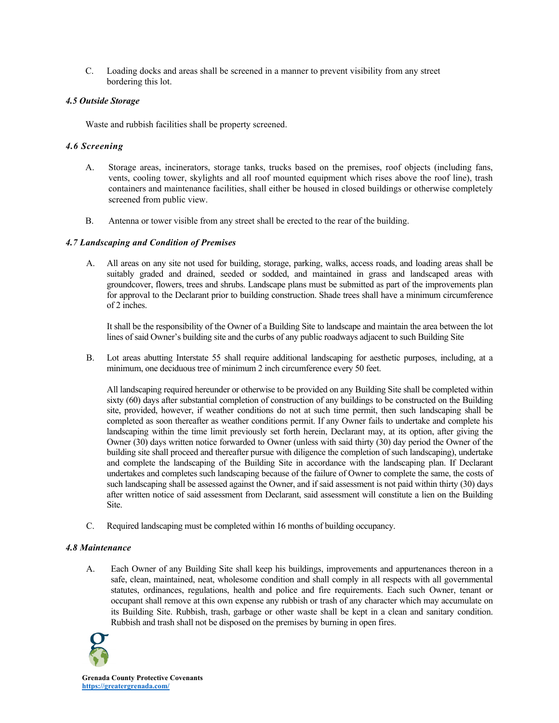C. Loading docks and areas shall be screened in a manner to prevent visibility from any street bordering this lot.

#### *4.5 Outside Storage*

Waste and rubbish facilities shall be property screened.

#### *4.6 Screening*

- A. Storage areas, incinerators, storage tanks, trucks based on the premises, roof objects (including fans, vents, cooling tower, skylights and all roof mounted equipment which rises above the roof line), trash containers and maintenance facilities, shall either be housed in closed buildings or otherwise completely screened from public view.
- B. Antenna or tower visible from any street shall be erected to the rear of the building.

#### *4.7 Landscaping and Condition of Premises*

A. All areas on any site not used for building, storage, parking, walks, access roads, and loading areas shall be suitably graded and drained, seeded or sodded, and maintained in grass and landscaped areas with groundcover, flowers, trees and shrubs. Landscape plans must be submitted as part of the improvements plan for approval to the Declarant prior to building construction. Shade trees shall have a minimum circumference of 2 inches.

It shall be the responsibility of the Owner of a Building Site to landscape and maintain the area between the lot lines of said Owner's building site and the curbs of any public roadways adjacent to such Building Site

B. Lot areas abutting Interstate 55 shall require additional landscaping for aesthetic purposes, including, at a minimum, one deciduous tree of minimum 2 inch circumference every 50 feet.

All landscaping required hereunder or otherwise to be provided on any Building Site shall be completed within sixty (60) days after substantial completion of construction of any buildings to be constructed on the Building site, provided, however, if weather conditions do not at such time permit, then such landscaping shall be completed as soon thereafter as weather conditions permit. If any Owner fails to undertake and complete his landscaping within the time limit previously set forth herein, Declarant may, at its option, after giving the Owner (30) days written notice forwarded to Owner (unless with said thirty (30) day period the Owner of the building site shall proceed and thereafter pursue with diligence the completion of such landscaping), undertake and complete the landscaping of the Building Site in accordance with the landscaping plan. If Declarant undertakes and completes such landscaping because of the failure of Owner to complete the same, the costs of such landscaping shall be assessed against the Owner, and if said assessment is not paid within thirty (30) days after written notice of said assessment from Declarant, said assessment will constitute a lien on the Building Site.

C. Required landscaping must be completed within 16 months of building occupancy.

#### *4.8 Maintenance*

A. Each Owner of any Building Site shall keep his buildings, improvements and appurtenances thereon in a safe, clean, maintained, neat, wholesome condition and shall comply in all respects with all governmental statutes, ordinances, regulations, health and police and fire requirements. Each such Owner, tenant or occupant shall remove at this own expense any rubbish or trash of any character which may accumulate on its Building Site. Rubbish, trash, garbage or other waste shall be kept in a clean and sanitary condition. Rubbish and trash shall not be disposed on the premises by burning in open fires.

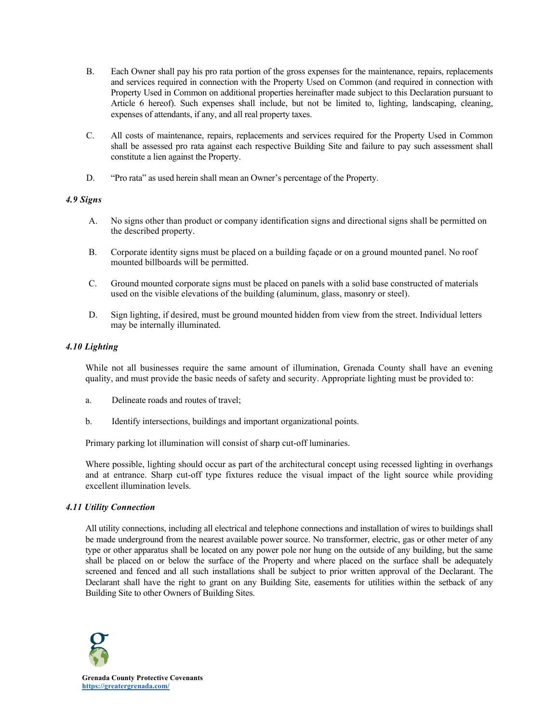- B. Each Owner shall pay his pro rata portion of the gross expenses for the maintenance, repairs, replacements and services required in connection with the Property Used on Common (and required in connection with Property Used in Common on additional properties hereinafter made subject to this Declaration pursuant to Article 6 hereof). Such expenses shall include, but not be limited to, lighting, landscaping, cleaning, expenses of attendants, if any, and all real property taxes.
- C. All costs of maintenance, repairs, replacements and services required for the Property Used in Common shall be assessed pro rata against each respective Building Site and failure to pay such assessment shall constitute a lien against the Property.
- D. "Pro rata" as used herein shall mean an Owner's percentage of the Property.

#### *4.9 Signs*

- A. No signs other than product or company identification signs and directional signs shall be permitted on the described property.
- B. Corporate identity signs must be placed on a building façade or on a ground mounted panel. No roof mounted billboards will be permitted.
- C. Ground mounted corporate signs must be placed on panels with a solid base constructed of materials used on the visible elevations of the building (aluminum, glass, masonry or steel).
- D. Sign lighting, if desired, must be ground mounted hidden from view from the street. Individual letters may be internally illuminated.

#### *4.10 Lighting*

While not all businesses require the same amount of illumination, Grenada County shall have an evening quality, and must provide the basic needs of safety and security. Appropriate lighting must be provided to:

- a. Delineate roads and routes of travel;
- b. Identify intersections, buildings and important organizational points.

Primary parking lot illumination will consist of sharp cut-off luminaries.

Where possible, lighting should occur as part of the architectural concept using recessed lighting in overhangs and at entrance. Sharp cut-off type fixtures reduce the visual impact of the light source while providing excellent illumination levels.

#### *4.11 Utility Connection*

All utility connections, including all electrical and telephone connections and installation of wires to buildings shall be made underground from the nearest available power source. No transformer, electric, gas or other meter of any type or other apparatus shall be located on any power pole nor hung on the outside of any building, but the same shall be placed on or below the surface of the Property and where placed on the surface shall be adequately screened and fenced and all such installations shall be subject to prior written approval of the Declarant. The Declarant shall have the right to grant on any Building Site, easements for utilities within the setback of any Building Site to other Owners of Building Sites.

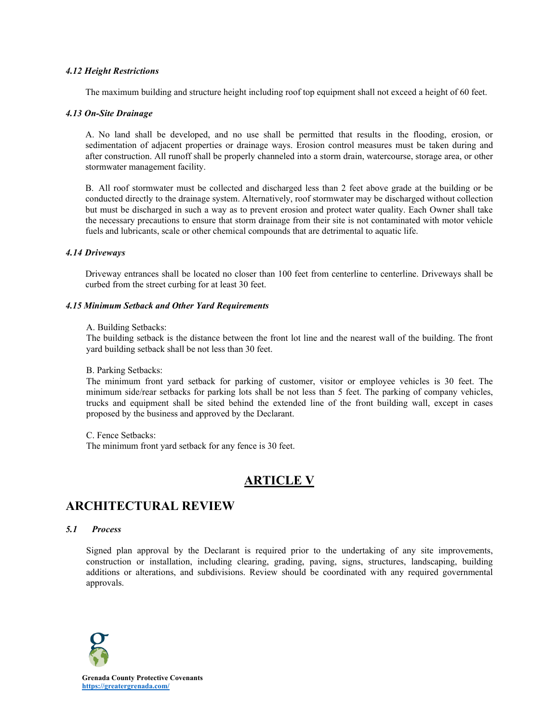#### *4.12 Height Restrictions*

The maximum building and structure height including roof top equipment shall not exceed a height of 60 feet.

#### *4.13 On-Site Drainage*

A. No land shall be developed, and no use shall be permitted that results in the flooding, erosion, or sedimentation of adjacent properties or drainage ways. Erosion control measures must be taken during and after construction. All runoff shall be properly channeled into a storm drain, watercourse, storage area, or other stormwater management facility.

B. All roof stormwater must be collected and discharged less than 2 feet above grade at the building or be conducted directly to the drainage system. Alternatively, roof stormwater may be discharged without collection but must be discharged in such a way as to prevent erosion and protect water quality. Each Owner shall take the necessary precautions to ensure that storm drainage from their site is not contaminated with motor vehicle fuels and lubricants, scale or other chemical compounds that are detrimental to aquatic life.

#### *4.14 Driveways*

Driveway entrances shall be located no closer than 100 feet from centerline to centerline. Driveways shall be curbed from the street curbing for at least 30 feet.

#### *4.15 Minimum Setback and Other Yard Requirements*

#### A. Building Setbacks:

The building setback is the distance between the front lot line and the nearest wall of the building. The front yard building setback shall be not less than 30 feet.

#### B. Parking Setbacks:

The minimum front yard setback for parking of customer, visitor or employee vehicles is 30 feet. The minimum side/rear setbacks for parking lots shall be not less than 5 feet. The parking of company vehicles, trucks and equipment shall be sited behind the extended line of the front building wall, except in cases proposed by the business and approved by the Declarant.

C. Fence Setbacks:

The minimum front yard setback for any fence is 30 feet.

## **ARTICLE V**

## **ARCHITECTURAL REVIEW**

#### *5.1 Process*

Signed plan approval by the Declarant is required prior to the undertaking of any site improvements, construction or installation, including clearing, grading, paving, signs, structures, landscaping, building additions or alterations, and subdivisions. Review should be coordinated with any required governmental approvals.

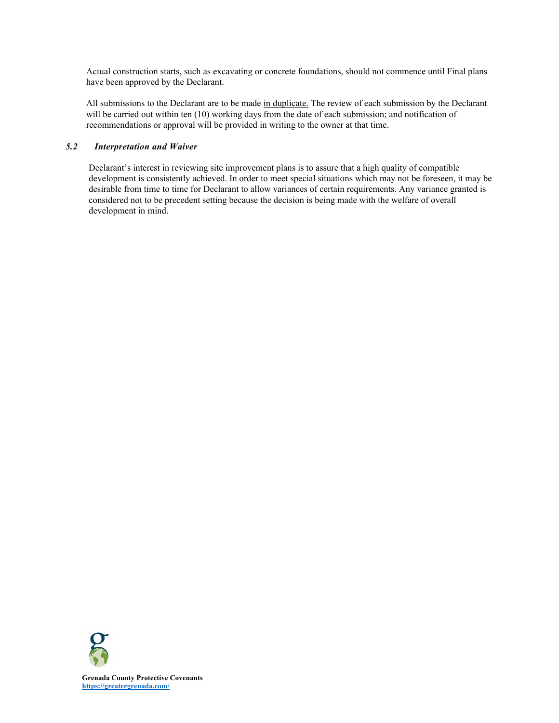Actual construction starts, such as excavating or concrete foundations, should not commence until Final plans have been approved by the Declarant.

All submissions to the Declarant are to be made in duplicate. The review of each submission by the Declarant will be carried out within ten (10) working days from the date of each submission; and notification of recommendations or approval will be provided in writing to the owner at that time.

#### *5.2 Interpretation and Waiver*

Declarant's interest in reviewing site improvement plans is to assure that a high quality of compatible development is consistently achieved. In order to meet special situations which may not be foreseen, it may be desirable from time to time for Declarant to allow variances of certain requirements. Any variance granted is considered not to be precedent setting because the decision is being made with the welfare of overall development in mind.